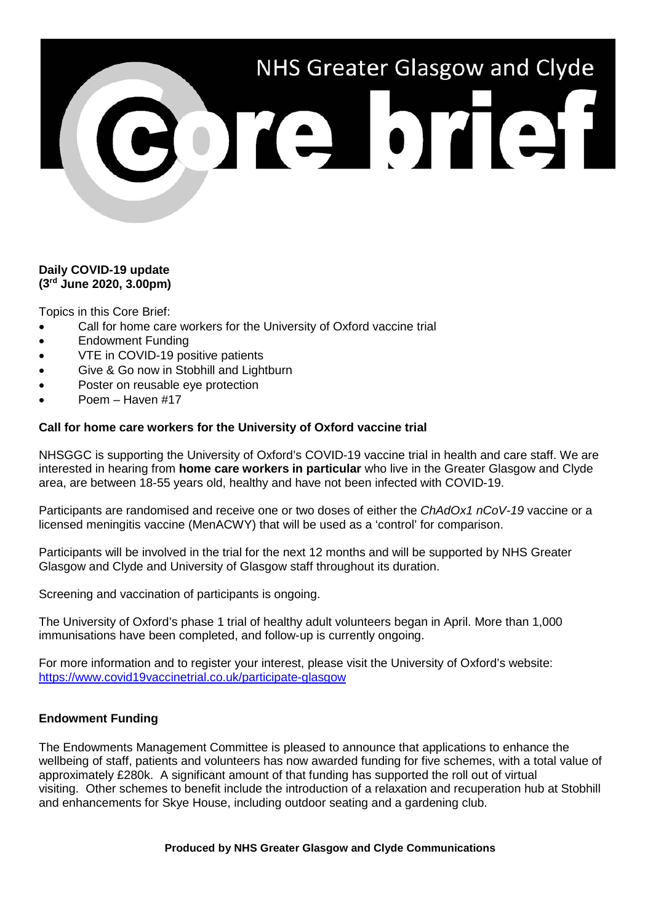# NHS Greater Glasgow and Clyde

# **Daily COVID-19 update (3rd June 2020, 3.00pm)**

Topics in this Core Brief:

- Call for home care workers for the University of Oxford vaccine trial
- Endowment Funding
- VTE in COVID-19 positive patients
- Give & Go now in Stobhill and Lightburn
- Poster on reusable eye protection
- Poem Haven #17

# **Call for home care workers for the University of Oxford vaccine trial**

NHSGGC is supporting the University of Oxford's COVID-19 vaccine trial in health and care staff. We are interested in hearing from **home care workers in particular** who live in the Greater Glasgow and Clyde area, are between 18-55 years old, healthy and have not been infected with COVID-19.

Participants are randomised and receive one or two doses of either the *ChAdOx1 nCoV-19* vaccine or a licensed meningitis vaccine (MenACWY) that will be used as a 'control' for comparison.

Participants will be involved in the trial for the next 12 months and will be supported by NHS Greater Glasgow and Clyde and University of Glasgow staff throughout its duration.

Screening and vaccination of participants is ongoing.

The University of Oxford's phase 1 trial of healthy adult volunteers began in April. More than 1,000 immunisations have been completed, and follow-up is currently ongoing.

For more information and to register your interest, please visit the University of Oxford's website: <https://www.covid19vaccinetrial.co.uk/participate-glasgow>

# **Endowment Funding**

The Endowments Management Committee is pleased to announce that applications to enhance the wellbeing of staff, patients and volunteers has now awarded funding for five schemes, with a total value of approximately £280k. A significant amount of that funding has supported the roll out of virtual visiting. Other schemes to benefit include the introduction of a relaxation and recuperation hub at Stobhill and enhancements for Skye House, including outdoor seating and a gardening club.

### **Produced by NHS Greater Glasgow and Clyde Communications**